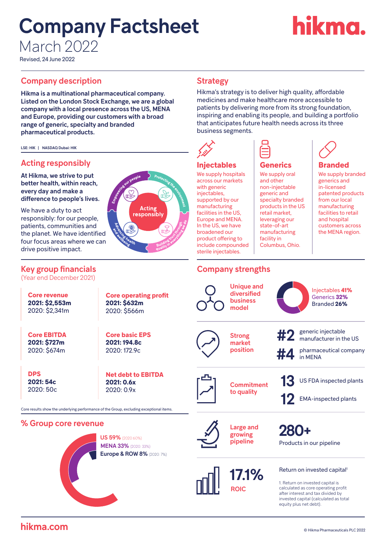# Company Factsheet March 2022

# **rikma.**

Revised, 24 June 2022

### **Company description Company description Company Strategy**

Hikma is a multinational pharmaceutical company. Listed on the London Stock Exchange, we are a global company with a local presence across the US, MENA and Europe, providing our customers with a broad range of generic, specialty and branded pharmaceutical products.

LSE: HIK | NASDAQ Dubai: HIK

## Acting responsibly

At Hikma, we strive to put better health, within reach, every day and make a difference to people's lives.

We have a duty to act responsibly: for our people, patients, communities and the planet. We have identified four focus areas where we can drive positive impact.

#### Key group financials

(Year end December 2021)

**Core revenue 2021: \$2,553m** 2020: \$2,341m

**Core EBITDA 2021: \$727m** 2020: \$674m

**DPS 2021: 54c** 2020: 50c

**Net debt to EBITDA 2021: 0.6x** 2020: 0.9x

**Core operating profit** 

**Acting** responsibly

**2021: \$632m** 2020: \$566m

**Core basic EPS 2021: 194.8c** 2020: 172.9c

Core results show the underlying performance of the Group, excluding exceptional items.

#### % Group core revenue



US 59% (2020:60%) MENA 33% (2020: 33%) Europe & ROW 8% (2020: 7%)



1. Return on invested capital is calculated as core operating profit after interest and tax divided by invested capital (calculated as total equity plus net debt).

Hikma's strategy is to deliver high quality, affordable medicines and make healthcare more accessible to patients by delivering more from its strong foundation, inspiring and enabling its people, and building a portfolio that anticipates future health needs across its three business segments.



**Injectables** We supply hospitals **Injectables** across our markets with generic injectables, supported by our supported by our manufacturing facilities in the  $US$ , Europe and MENA. MENA. In the US, we have In the US, we have broadened our product offering to .<br>include compounded sterile injectables.

#### **Generics**

We supply oral **Generics**  and other non-injectable generic and specialty branded products in the US retail market, leveraging our state-of-art manufacturing facility in Columbus, Ohio.

#### We supply branded **Branded** generics and in-licensed patented products from our local manufacturing

**Branded**

facilities to retail and hospital customers across the MENA region.

## Company strengths